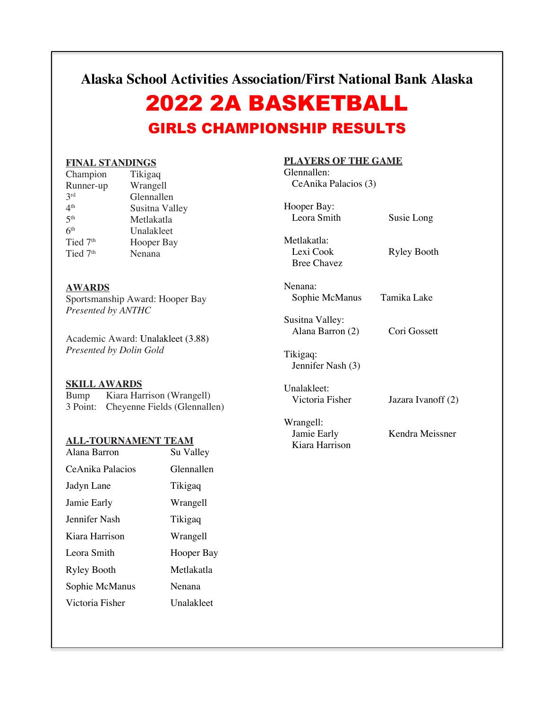**Alaska School Activities Association/First National Bank Alaska**

# 2022 2A BASKETBALL GIRLS CHAMPIONSHIP RESULTS

### **FINAL STANDINGS**

| Tikigaq        |
|----------------|
| Wrangell       |
| Glennallen     |
| Susitna Valley |
| Metlakatla     |
| Unalakleet     |
| Hooper Bay     |
| Nenana         |
|                |

### **AWARDS**

Sportsmanship Award: Hooper Bay *Presented by ANTHC*

Academic Award: Unalakleet (3.88) *Presented by Dolin Gold*

# **SKILL AWARDS**

Bump Kiara Harrison (Wrangell) 3 Point: Cheyenne Fields (Glennallen)

### **ALL-TOURNAMENT TEAM**

| Alana Barron       | Su Valley  |
|--------------------|------------|
| CeAnika Palacios   | Glennallen |
| Jadyn Lane         | Tikigaq    |
| Jamie Early        | Wrangell   |
| Jennifer Nash      | Tikigaq    |
| Kiara Harrison     | Wrangell   |
| Leora Smith        | Hooper Bay |
| <b>Ryley Booth</b> | Metlakatla |
| Sophie McManus     | Nenana     |
| Victoria Fisher    | Unalakleet |
|                    |            |

# **PLAYERS OF THE GAME**

Glennallen: CeAnika Palacios (3)

| Hooper Bay:<br>Leora Smith                     | Susie Long         |
|------------------------------------------------|--------------------|
| Metlakatla:<br>Lexi Cook<br><b>Bree Chavez</b> | <b>Ryley Booth</b> |
| Nenana:<br>Sophie McManus                      | Tamika Lake        |
| Susitna Valley:<br>Alana Barron (2)            | Cori Gossett       |
| Tikigaq:<br>Jennifer Nash (3)                  |                    |
| Unalakleet:<br>Victoria Fisher                 | Jazara Ivanoff (2) |
|                                                |                    |

Wrangell:<br>Jamie Early Kiara Harrison

Kendra Meissner